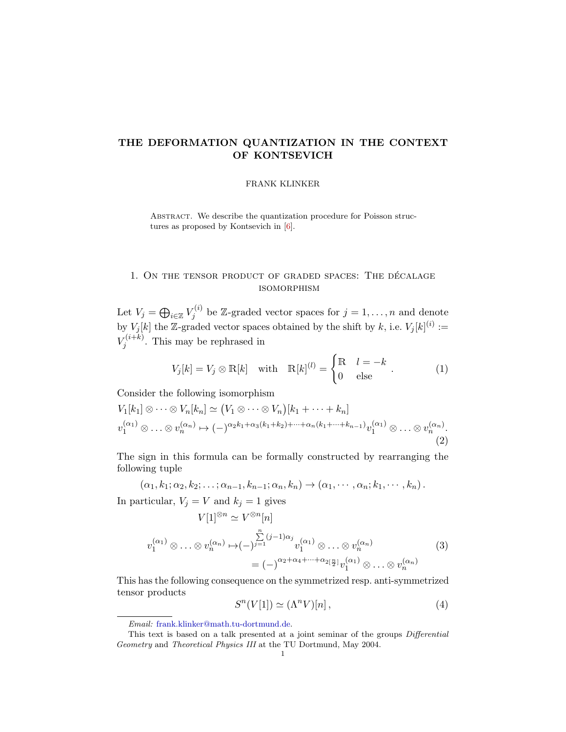# <span id="page-0-2"></span>THE DEFORMATION QUANTIZATION IN THE CONTEXT OF KONTSEVICH

#### FRANK KLINKER

Abstract. We describe the quantization procedure for Poisson structures as proposed by Kontsevich in [\[6\]](#page-13-0).

# 1. ON THE TENSOR PRODUCT OF GRADED SPACES: THE DÉCALAGE isomorphism

Let  $V_j = \bigoplus_{i \in \mathbb{Z}} V_j^{(i)}$  $g_j^{(i)}$  be Z-graded vector spaces for  $j = 1, ..., n$  and denote by  $V_j[k]$  the Z-graded vector spaces obtained by the shift by k, i.e.  $V_j[k]^{(i)} :=$  $V_i^{(i+k)}$  $j^{(i+k)}$ . This may be rephrased in

$$
V_j[k] = V_j \otimes \mathbb{R}[k] \quad \text{with} \quad \mathbb{R}[k]^{(l)} = \begin{cases} \mathbb{R} & l = -k \\ 0 & \text{else} \end{cases} . \tag{1}
$$

Consider the following isomorphism

<span id="page-0-0"></span>
$$
V_1[k_1] \otimes \cdots \otimes V_n[k_n] \simeq (V_1 \otimes \cdots \otimes V_n)[k_1 + \cdots + k_n]
$$
  

$$
v_1^{(\alpha_1)} \otimes \cdots \otimes v_n^{(\alpha_n)} \mapsto (-)^{\alpha_2 k_1 + \alpha_3(k_1 + k_2) + \cdots + \alpha_n(k_1 + \cdots + k_{n-1})} v_1^{(\alpha_1)} \otimes \cdots \otimes v_n^{(\alpha_n)}.
$$
  
(2)

The sign in this formula can be formally constructed by rearranging the following tuple

$$
(\alpha_1, k_1; \alpha_2, k_2; \dots; \alpha_{n-1}, k_{n-1}; \alpha_n, k_n) \to (\alpha_1, \dots, \alpha_n; k_1, \dots, k_n).
$$
  
In particular,  $V_i = V$  and  $k_i = 1$  gives

$$
V[1]^{\otimes n} \simeq V^{\otimes n}[n]
$$
  

$$
V[1]^{\otimes n} \simeq V^{\otimes n}[n]
$$
  

$$
v_1^{(\alpha_1)} \otimes \ldots \otimes v_n^{(\alpha_n)} \mapsto (-)^{\sum_{j=1}^n (j-1)\alpha_j} v_1^{(\alpha_1)} \otimes \ldots \otimes v_n^{(\alpha_n)}
$$
  

$$
= (-)^{\alpha_2 + \alpha_4 + \cdots + \alpha_{2[\frac{n}{2}]} v_1^{(\alpha_1)} \otimes \ldots \otimes v_n^{(\alpha_n)}
$$
  

$$
(3)
$$

This has the following consequence on the symmetrized resp. anti-symmetrized tensor products

<span id="page-0-1"></span>
$$
S^{n}(V[1]) \simeq (\Lambda^{n}V)[n], \qquad (4)
$$

Email: [frank.klinker@math.tu-dortmund.de.](mailto:frank.klinker@math.tu-dortmund.de)

This text is based on a talk presented at a joint seminar of the groups Differential Geometry and Theoretical Physics III at the TU Dortmund, May 2004.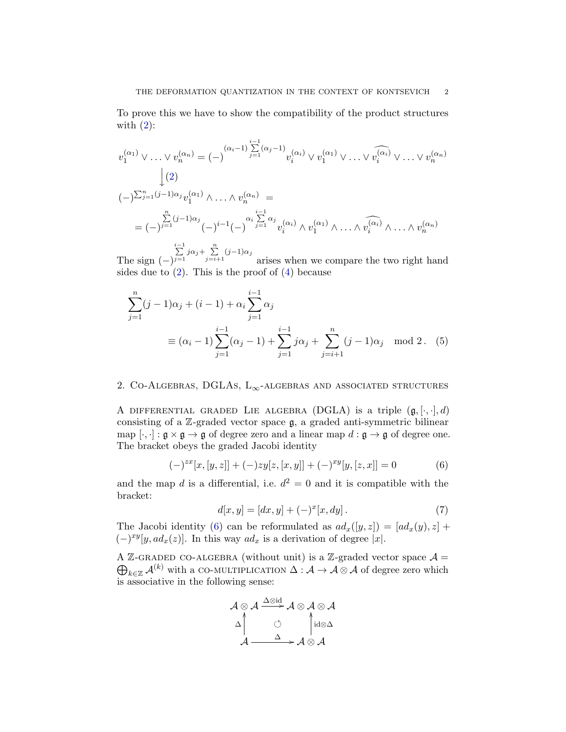To prove this we have to show the compatibility of the product structures with  $(2)$ :

$$
v_1^{(\alpha_1)} \vee \ldots \vee v_n^{(\alpha_n)} = (-)^{(\alpha_i - 1) \sum_{j=1}^{i-1} (\alpha_j - 1)} v_i^{(\alpha_i)} \vee v_1^{(\alpha_1)} \vee \ldots \vee v_i^{(\alpha_i)} \vee \ldots \vee v_n^{(\alpha_n)}
$$
  
\n
$$
\downarrow (2)
$$
  
\n
$$
(-)^{\sum_{j=1}^n (j-1)\alpha_j} v_1^{(\alpha_1)} \wedge \ldots \wedge v_n^{(\alpha_n)} =
$$
  
\n
$$
= (-)^{\sum_{j=1}^n (j-1)\alpha_j} (-)^{i-1} (-)^{\sum_{j=1}^i \alpha_j} v_i^{(\alpha_i)} \wedge v_1^{(\alpha_1)} \wedge \ldots \wedge \widehat{v_i^{(\alpha_i)}} \wedge \ldots \wedge v_n^{(\alpha_n)}
$$

The sign  $(-)$  $\sum_{j=1}^{i-1} j\alpha_j + \sum_{j=i+1}^{n} (j-1)\alpha_j$ arises when we compare the two right hand sides due to  $(2)$ . This is the proof of  $(4)$  because

$$
\sum_{j=1}^{n} (j-1)\alpha_j + (i-1) + \alpha_i \sum_{j=1}^{i-1} \alpha_j
$$
  
\n
$$
\equiv (\alpha_i - 1) \sum_{j=1}^{i-1} (\alpha_j - 1) + \sum_{j=1}^{i-1} j\alpha_j + \sum_{j=i+1}^{n} (j-1)\alpha_j \mod 2. \quad (5)
$$

## 2. CO-ALGEBRAS, DGLAS,  $L_{\infty}$ -ALGEBRAS AND ASSOCIATED STRUCTURES

A DIFFERENTIAL GRADED LIE ALGEBRA (DGLA) is a triple  $(\mathfrak{g}, [\cdot, \cdot], d)$ consisting of a  $\mathbb{Z}$ -graded vector space  $\mathfrak{g}$ , a graded anti-symmetric bilinear map  $[\cdot, \cdot] : \mathfrak{g} \times \mathfrak{g} \to \mathfrak{g}$  of degree zero and a linear map  $d : \mathfrak{g} \to \mathfrak{g}$  of degree one. The bracket obeys the graded Jacobi identity

<span id="page-1-0"></span>
$$
(-)^{zx}[x,[y,z]] + (-)zy[z,[x,y]] + (-)^{xy}[y,[z,x]] = 0 \tag{6}
$$

and the map d is a differential, i.e.  $d^2 = 0$  and it is compatible with the bracket:

<span id="page-1-1"></span>
$$
d[x, y] = [dx, y] + (-)^{x} [x, dy].
$$
\n(7)

The Jacobi identity [\(6\)](#page-1-0) can be reformulated as  $ad_x([y, z]) = [ad_x(y), z] +$  $(-)^{xy}[y, ad_x(z)]$ . In this way  $ad_x$  is a derivation of degree |x|.

A Z-GRADED CO-ALGEBRA (without unit) is a Z-graded vector space  $\mathcal{A} =$  $\bigoplus_{k\in\mathbb{Z}}\mathcal{A}^{(k)}$  with a CO-MULTIPLICATION  $\Delta:\mathcal{A}\to\mathcal{A}\otimes\mathcal{A}$  of degree zero which is associative in the following sense:

$$
\mathcal{A} \otimes \mathcal{A} \xrightarrow{\Delta \otimes id} \mathcal{A} \otimes \mathcal{A} \otimes \mathcal{A}
$$
\n
$$
\triangle \uparrow \qquad \qquad \circ \qquad \qquad \downarrow id \otimes \triangle
$$
\n
$$
\mathcal{A} \xrightarrow{\Delta} \mathcal{A} \otimes \mathcal{A}
$$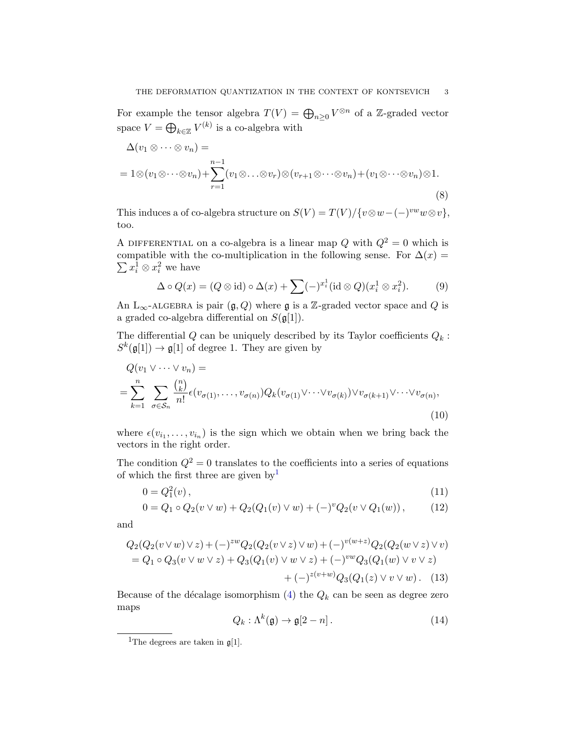For example the tensor algebra  $T(V) = \bigoplus_{n \geq 0} V^{\otimes n}$  of a Z-graded vector space  $V = \bigoplus_{k \in \mathbb{Z}} V^{(k)}$  is a co-algebra with

$$
\Delta(v_1 \otimes \cdots \otimes v_n) =
$$
  
=  $1 \otimes (v_1 \otimes \cdots \otimes v_n) + \sum_{r=1}^{n-1} (v_1 \otimes \cdots \otimes v_r) \otimes (v_{r+1} \otimes \cdots \otimes v_n) + (v_1 \otimes \cdots \otimes v_n) \otimes 1.$  (8)

This induces a of co-algebra structure on  $S(V) = T(V)/\{v \otimes w - (-)^{vw} w \otimes v\},\$ too.

A DIFFERENTIAL on a co-algebra is a linear map  $Q$  with  $Q^2 = 0$  which is compatible with the co-multiplication in the following sense. For  $\Delta(x) =$  $\sum x_i^1 \otimes x_i^2$  we have

$$
\Delta \circ Q(x) = (Q \otimes id) \circ \Delta(x) + \sum (-)^{x_i^1} (id \otimes Q)(x_i^1 \otimes x_i^2). \tag{9}
$$

An L<sub>∞</sub>-ALGEBRA is pair  $(\mathfrak{g}, Q)$  where  $\mathfrak{g}$  is a Z-graded vector space and Q is a graded co-algebra differential on  $S(\mathfrak{g}[1])$ .

The differential  $Q$  can be uniquely described by its Taylor coefficients  $Q_k$ :  $S^k(\mathfrak{g}[1]) \to \mathfrak{g}[1]$  of degree 1. They are given by

$$
Q(v_1 \vee \cdots \vee v_n) =
$$
  
= 
$$
\sum_{k=1}^n \sum_{\sigma \in S_n} \frac{\binom{n}{k}}{n!} \epsilon(v_{\sigma(1)}, \ldots, v_{\sigma(n)}) Q_k(v_{\sigma(1)} \vee \cdots \vee v_{\sigma(k)}) \vee v_{\sigma(k+1)} \vee \cdots \vee v_{\sigma(n)},
$$
  
(10)

where  $\epsilon(v_{i_1},\ldots,v_{i_n})$  is the sign which we obtain when we bring back the vectors in the right order.

The condition  $Q^2 = 0$  translates to the coefficients into a series of equations of which the first three are given by<sup>[1](#page-2-0)</sup>

$$
0 = Q_1^2(v), \t\t(11)
$$

$$
0 = Q_1 \circ Q_2(v \vee w) + Q_2(Q_1(v) \vee w) + (-)^v Q_2(v \vee Q_1(w)), \tag{12}
$$

and

$$
Q_2(Q_2(v \vee w) \vee z) + (-)^{zw} Q_2(Q_2(v \vee z) \vee w) + (-)^{v(w+z)} Q_2(Q_2(w \vee z) \vee v)
$$
  
=  $Q_1 \circ Q_3(v \vee w \vee z) + Q_3(Q_1(v) \vee w \vee z) + (-)^{vw} Q_3(Q_1(w) \vee v \vee z)$   
+  $(-)^{z(v+w)} Q_3(Q_1(z) \vee v \vee w)$ . (13)

Because of the décalage isomorphism [\(4\)](#page-0-1) the  $Q_k$  can be seen as degree zero maps

<span id="page-2-2"></span><span id="page-2-1"></span>
$$
Q_k: \Lambda^k(\mathfrak{g}) \to \mathfrak{g}[2-n] \,. \tag{14}
$$

<span id="page-2-0"></span><sup>&</sup>lt;sup>1</sup>The degrees are taken in  $\mathfrak{g}[1]$ .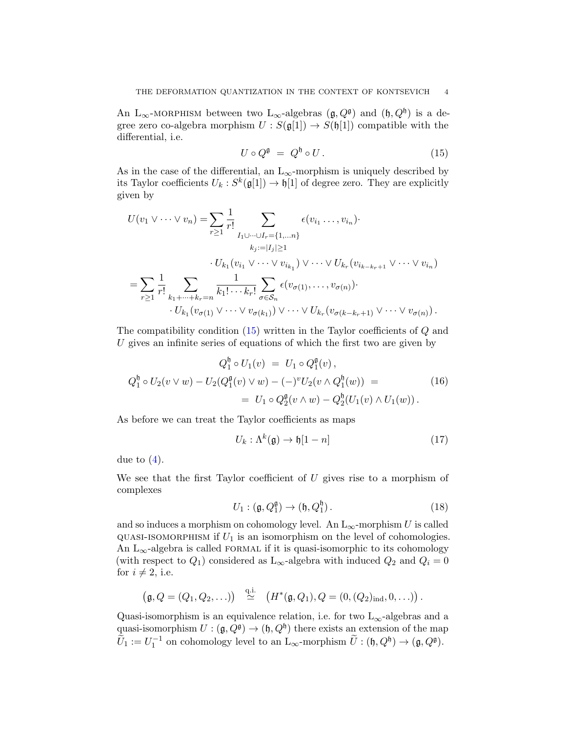An L<sub>∞</sub>-MORPHISM between two L<sub>∞</sub>-algebras  $(\mathfrak{g}, Q^{\mathfrak{g}})$  and  $(\mathfrak{h}, Q^{\mathfrak{h}})$  is a degree zero co-algebra morphism  $U : S(\mathfrak{g}[1]) \to S(\mathfrak{h}[1])$  compatible with the differential, i.e.

<span id="page-3-0"></span>
$$
U \circ Q^{\mathfrak{g}} = Q^{\mathfrak{h}} \circ U. \tag{15}
$$

As in the case of the differential, an  $L_{\infty}$ -morphism is uniquely described by its Taylor coefficients  $U_k : S^k(\mathfrak{g}[1]) \to \mathfrak{h}[1]$  of degree zero. They are explicitly given by

$$
U(v_1 \vee \cdots \vee v_n) = \sum_{r \geq 1} \frac{1}{r!} \sum_{I_1 \cup \cdots \cup I_r = \{1, \ldots n\}} \epsilon(v_{i_1} \ldots, v_{i_n})
$$
  
\n
$$
k_{j} := |I_j| \geq 1
$$
  
\n
$$
\cdot U_{k_1}(v_{i_1} \vee \cdots \vee v_{i_{k_1}}) \vee \cdots \vee U_{k_r}(v_{i_{k-k_r+1}} \vee \cdots \vee v_{i_n})
$$
  
\n
$$
= \sum_{r \geq 1} \frac{1}{r!} \sum_{k_1 + \cdots + k_r = n} \frac{1}{k_1! \cdots k_r!} \sum_{\sigma \in S_n} \epsilon(v_{\sigma(1)}, \ldots, v_{\sigma(n)})
$$
  
\n
$$
\cdot U_{k_1}(v_{\sigma(1)} \vee \cdots \vee v_{\sigma(k_1)}) \vee \cdots \vee U_{k_r}(v_{\sigma(k-k_r+1)} \vee \cdots \vee v_{\sigma(n)})
$$

The compatibility condition [\(15\)](#page-3-0) written in the Taylor coefficients of Q and U gives an infinite series of equations of which the first two are given by

$$
Q_1^{\mathfrak{h}} \circ U_1(v) = U_1 \circ Q_1^{\mathfrak{g}}(v),
$$
  
\n
$$
Q_1^{\mathfrak{h}} \circ U_2(v \vee w) - U_2(Q_1^{\mathfrak{g}}(v) \vee w) - (-)^v U_2(v \wedge Q_1^{\mathfrak{h}}(w)) =
$$
  
\n
$$
= U_1 \circ Q_2^{\mathfrak{g}}(v \wedge w) - Q_2^{\mathfrak{h}}(U_1(v) \wedge U_1(w)).
$$
\n(16)

As before we can treat the Taylor coefficients as maps

$$
U_k: \Lambda^k(\mathfrak{g}) \to \mathfrak{h}[1-n] \tag{17}
$$

due to  $(4)$ .

We see that the first Taylor coefficient of  $U$  gives rise to a morphism of complexes

$$
U_1: (\mathfrak{g}, Q_1^{\mathfrak{g}}) \to (\mathfrak{h}, Q_1^{\mathfrak{h}}). \tag{18}
$$

and so induces a morphism on cohomology level. An  $L_{\infty}$ -morphism U is called QUASI-ISOMORPHISM if  $U_1$  is an isomorphism on the level of cohomologies. An  $L_{\infty}$ -algebra is called FORMAL if it is quasi-isomorphic to its cohomology (with respect to  $Q_1$ ) considered as L<sub>∞</sub>-algebra with induced  $Q_2$  and  $Q_i = 0$ for  $i \neq 2$ , i.e.

$$
(\mathfrak{g},Q=(Q_1,Q_2,\ldots))\stackrel{\text{q.i.}}{\simeq}(H^*(\mathfrak{g},Q_1),Q=(0,(Q_2)_{\text{ind}},0,\ldots)).
$$

Quasi-isomorphism is an equivalence relation, i.e. for two  $L_{\infty}$ -algebras and a quasi-isomorphism  $U: (\mathfrak{g}, Q^{\mathfrak{g}}) \to (\mathfrak{h}, Q^{\mathfrak{h}})$  there exists an extension of the map  $\widetilde{U}_1 := U_1^{-1}$  on cohomology level to an  $L_{\infty}$ -morphism  $\widetilde{U} : (\mathfrak{h}, Q^{\mathfrak{h}}) \to (\mathfrak{g}, Q^{\mathfrak{g}})$ .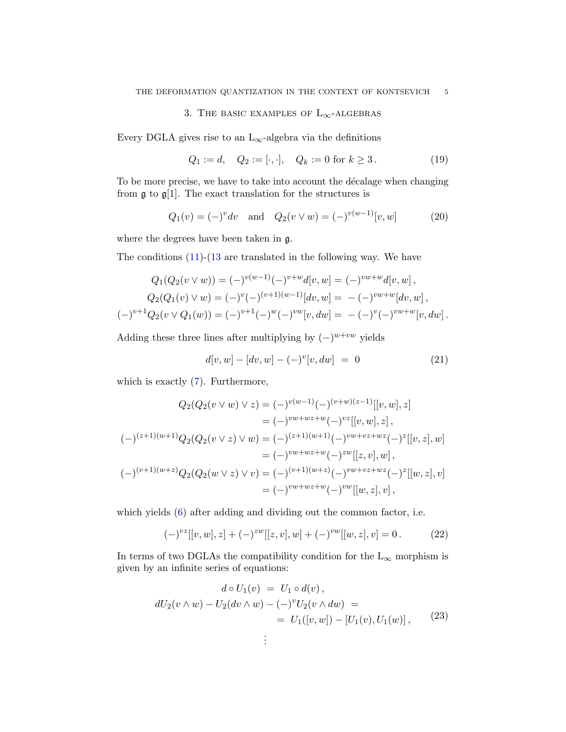## 3. THE BASIC EXAMPLES OF  $L_{\infty}$ -ALGEBRAS

Every DGLA gives rise to an  $L_{\infty}$ -algebra via the definitions

$$
Q_1 := d, \quad Q_2 := [\cdot, \cdot], \quad Q_k := 0 \text{ for } k \ge 3. \tag{19}
$$

To be more precise, we have to take into account the décalage when changing from  $\mathfrak g$  to  $\mathfrak g[1]$ . The exact translation for the structures is

$$
Q_1(v) = (-)^v dv \text{ and } Q_2(v \vee w) = (-)^{v(w-1)}[v, w]
$$
 (20)

where the degrees have been taken in g.

The conditions [\(11\)](#page-2-1)-[\(13](#page-2-2) are translated in the following way. We have

$$
Q_1(Q_2(v \vee w)) = (-)^{v(w-1)} (-)^{v+w} d[v, w] = (-)^{vw+w} d[v, w],
$$
  
\n
$$
Q_2(Q_1(v) \vee w) = (-)^v (-)^{(v+1)(w-1)} [dv, w] = - (-)^{vw+w} [dv, w],
$$
  
\n
$$
(-)^{v+1} Q_2(v \vee Q_1(w)) = (-)^{v+1} (-)^w (-)^{vw} [v, dw] = - (-)^v (-)^{vw+w} [v, dw].
$$

Adding these three lines after multiplying by  $(-)^{w+vw}$  yields

$$
d[v, w] - [dv, w] - (-)^{v}[v, dw] = 0 \qquad (21)
$$

which is exactly [\(7\)](#page-1-1). Furthermore,

$$
Q_2(Q_2(v \vee w) \vee z) = (-)^{v(w-1)} (-)^{(v+w)(z-1)}[[v, w], z]
$$
  
\n
$$
= (-)^{vw+wz+w} (-)^{vz}[[v, w], z],
$$
  
\n
$$
(-)^{(z+1)(w+1)}Q_2(Q_2(v \vee z) \vee w) = (-)^{(z+1)(w+1)} (-)^{vw+vz+wz} (-)^{z}[[v, z], w]
$$
  
\n
$$
= (-)^{vw+wz+w} (-)^{zw}[[z, v], w],
$$
  
\n
$$
(-)^{(v+1)(w+z)}Q_2(Q_2(w \vee z) \vee v) = (-)^{(v+1)(w+z)} (-)^{vw+vz+wz} (-)^{z}[[w, z], v]
$$
  
\n
$$
= (-)^{vw+wz+w} (-)^{vw}[[w, z], v],
$$

which yields [\(6\)](#page-1-0) after adding and dividing out the common factor, i.e.

$$
(-)^{vz}[[v,w],z] + (-)^{zw}[[z,v],w] + (-)^{vw}[[w,z],v] = 0.
$$
 (22)

In terms of two DGLAs the compatibility condition for the  $L_{\infty}$  morphism is given by an infinite series of equations:

$$
d \circ U_1(v) = U_1 \circ d(v),
$$
  
\n
$$
dU_2(v \wedge w) - U_2(dv \wedge w) - (-)^v U_2(v \wedge dw) =
$$
  
\n
$$
= U_1([v, w]) - [U_1(v), U_1(w)], \qquad (23)
$$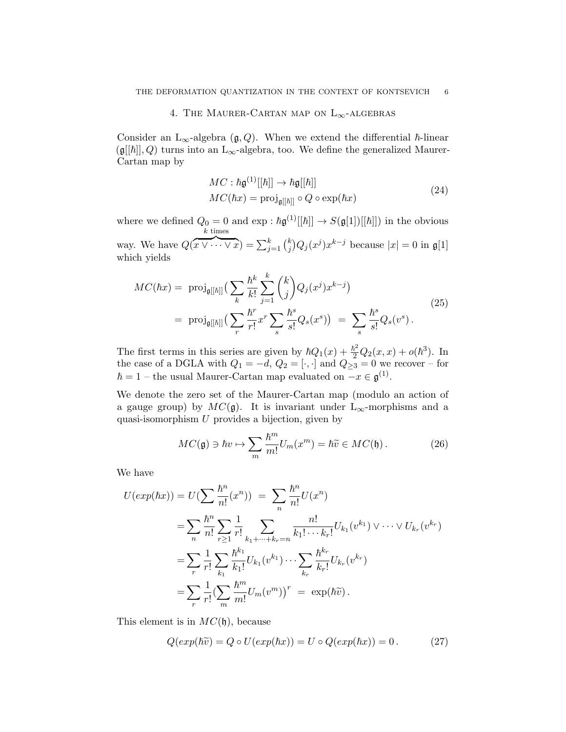### 4. THE MAURER-CARTAN MAP ON  $L_{\infty}$ -ALGEBRAS

Consider an L<sub>∞</sub>-algebra ( $\mathfrak{g}, Q$ ). When we extend the differential  $\hbar$ -linear  $(\mathfrak{g}[[\hbar]], Q)$  turns into an L<sub>∞</sub>-algebra, too. We define the generalized Maurer-Cartan map by

$$
MC: \hbar \mathfrak{g}^{(1)}[[\hbar]] \to \hbar \mathfrak{g}[[\hbar]]
$$
  

$$
MC(\hbar x) = \text{proj}_{\mathfrak{g}[[\hbar]]} \circ Q \circ \exp(\hbar x)
$$
 (24)

where we defined  $Q_0 = 0$  and  $\exp : \hbar \mathfrak{g}^{(1)}[[\hbar]] \to S(\mathfrak{g}[1])[[\hbar]])$  in the obvious way. We have Q(  $k$  times  $\overbrace{x \vee \cdots \vee x}^{x} = \sum_{j=1}^{k} {k \choose j}$  $\int_j^k Q_j(x^j) x^{k-j}$  because  $|x| = 0$  in  $\mathfrak{g}[1]$ which yields

$$
MC(\hbar x) = \text{proj}_{\mathfrak{g}[[\hbar]]} \left( \sum_{k} \frac{\hbar^k}{k!} \sum_{j=1}^k {k \choose j} Q_j(x^j) x^{k-j} \right)
$$
  
= 
$$
\text{proj}_{\mathfrak{g}[[\hbar]]} \left( \sum_{r} \frac{\hbar^r}{r!} x^r \sum_{s} \frac{\hbar^s}{s!} Q_s(x^s) \right) = \sum_{s} \frac{\hbar^s}{s!} Q_s(v^s).
$$
 (25)

The first terms in this series are given by  $\hbar Q_1(x) + \frac{\hbar^2}{2} Q_2(x, x) + o(\hbar^3)$ . In the case of a DGLA with  $Q_1 = -d, Q_2 = [\cdot, \cdot]$  and  $Q_{\geq 3} = 0$  we recover – for  $\hbar = 1$  – the usual Maurer-Cartan map evaluated on  $-x \in \mathfrak{g}^{(1)}$ .

We denote the zero set of the Maurer-Cartan map (modulo an action of a gauge group) by  $MC(\mathfrak{g})$ . It is invariant under L<sub>∞</sub>-morphisms and a quasi-isomorphism  $U$  provides a bijection, given by

<span id="page-5-0"></span>
$$
MC(\mathfrak{g}) \ni \hbar v \mapsto \sum_{m} \frac{\hbar^m}{m!} U_m(x^m) = \hbar \widetilde{v} \in MC(\mathfrak{h}). \tag{26}
$$

We have

$$
U(exp(\hbar x)) = U(\sum \frac{\hbar^n}{n!}(x^n)) = \sum_{n} \frac{\hbar^n}{n!} U(x^n)
$$
  
\n
$$
= \sum_{n} \frac{\hbar^n}{n!} \sum_{r \ge 1} \frac{1}{r!} \sum_{k_1 + \dots + k_r = n} \frac{n!}{k_1! \cdots k_r!} U_{k_1}(v^{k_1}) \vee \dots \vee U_{k_r}(v^{k_r})
$$
  
\n
$$
= \sum_{r} \frac{1}{r!} \sum_{k_1} \frac{\hbar^{k_1}}{k_1!} U_{k_1}(v^{k_1}) \cdots \sum_{k_r} \frac{\hbar^{k_r}}{k_r!} U_{k_r}(v^{k_r})
$$
  
\n
$$
= \sum_{r} \frac{1}{r!} (\sum_{m} \frac{\hbar^m}{m!} U_m(v^m))^r = \exp(\hbar \widetilde{v}).
$$

This element is in  $MC(h)$ , because

$$
Q(exp(\hbar \widetilde{v}) = Q \circ U(exp(\hbar x)) = U \circ Q(exp(\hbar x)) = 0.
$$
 (27)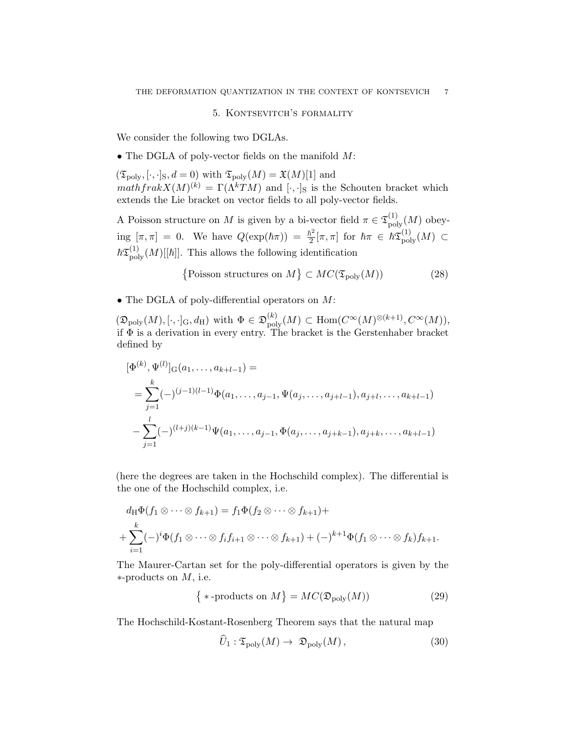### 5. Kontsevitch's formality

<span id="page-6-0"></span>We consider the following two DGLAs.

• The DGLA of poly-vector fields on the manifold M:

 $(\mathfrak{T}_{\text{poly}}, [\cdot,\cdot]_{\text{S}}, d = 0)$  with  $\mathfrak{T}_{\text{poly}}(M) = \mathfrak{X}(M)[1]$  and  $mathfrak{a}kX(M)^{(k)} = \Gamma(\Lambda^k TM)$  and  $[\cdot, \cdot]_S$  is the Schouten bracket which extends the Lie bracket on vector fields to all poly-vector fields.

A Poisson structure on M is given by a bi-vector field  $\pi \in \mathfrak{T}_{\text{poly}}^{(1)}(M)$  obeying  $[\pi, \pi] = 0$ . We have  $Q(\exp(\hbar \pi)) = \frac{\hbar^2}{2}$  $\frac{\hbar^2}{2} [\pi,\pi] \,\text{ for }\, \hbar \pi \,\in\, \hbar \mathfrak{T}^{(1)}_{\rm poly}(M) \,\subset \,$  $\hbar \mathfrak{T}^{(1)}_{\text{poly}}(M)[[\hbar]]$ . This allows the following identification

$$
\{ \text{Poisson structures on } M \} \subset MC(\mathfrak{T}_{\text{poly}}(M)) \tag{28}
$$

• The DGLA of poly-differential operators on M:

 $(\mathfrak{D}_{\text{poly}}(M), [\cdot, \cdot]_{\text{G}}, d_{\text{H}})$  with  $\Phi \in \mathfrak{D}_{\text{poly}}^{(k)}(M) \subset \text{Hom}(C^{\infty}(M)^{\otimes (k+1)}, C^{\infty}(M)),$ if Φ is a derivation in every entry. The bracket is the Gerstenhaber bracket defined by

$$
[\Phi^{(k)}, \Psi^{(l)}]_{G}(a_1, \dots, a_{k+l-1}) =
$$
  
= 
$$
\sum_{j=1}^k (-)^{(j-1)(l-1)} \Phi(a_1, \dots, a_{j-1}, \Psi(a_j, \dots, a_{j+l-1}), a_{j+l}, \dots, a_{k+l-1})
$$
  
- 
$$
\sum_{j=1}^l (-)^{(l+j)(k-1)} \Psi(a_1, \dots, a_{j-1}, \Phi(a_j, \dots, a_{j+k-1}), a_{j+k}, \dots, a_{k+l-1})
$$

(here the degrees are taken in the Hochschild complex). The differential is the one of the Hochschild complex, i.e.

$$
d_{\mathrm{H}}\Phi(f_1 \otimes \cdots \otimes f_{k+1}) = f_1 \Phi(f_2 \otimes \cdots \otimes f_{k+1}) +
$$
  
+ 
$$
\sum_{i=1}^k (-)^i \Phi(f_1 \otimes \cdots \otimes f_i f_{i+1} \otimes \cdots \otimes f_{k+1}) + (-)^{k+1} \Phi(f_1 \otimes \cdots \otimes f_k) f_{k+1}.
$$

The Maurer-Cartan set for the poly-differential operators is given by the ∗-products on M, i.e.

$$
\{ * \text{-products on } M \} = MC(\mathfrak{D}_{\text{poly}}(M))
$$
\n(29)

The Hochschild-Kostant-Rosenberg Theorem says that the natural map

$$
\hat{U}_1: \mathfrak{T}_{\text{poly}}(M) \to \mathfrak{D}_{\text{poly}}(M)\,,\tag{30}
$$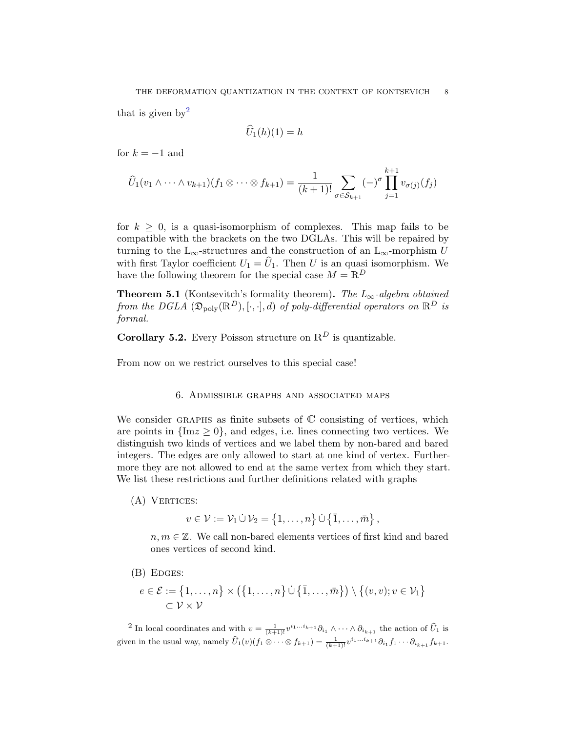that is given by  $2^2$  $2^2$ 

$$
\hat{U}_1(h)(1) = h
$$

for  $k = -1$  and

$$
\widehat{U}_1(v_1 \wedge \cdots \wedge v_{k+1})(f_1 \otimes \cdots \otimes f_{k+1}) = \frac{1}{(k+1)!} \sum_{\sigma \in S_{k+1}} (-)^{\sigma} \prod_{j=1}^{k+1} v_{\sigma(j)}(f_j)
$$

for  $k \geq 0$ , is a quasi-isomorphism of complexes. This map fails to be compatible with the brackets on the two DGLAs. This will be repaired by turning to the L<sub>∞</sub>-structures and the construction of an L<sub>∞</sub>-morphism U with first Taylor coefficient  $U_1 = \hat{U}_1$ . Then U is an quasi isomorphism. We have the following theorem for the special case  $M = \mathbb{R}^D$ 

**Theorem 5.1** (Kontsevitch's formality theorem). The  $L_{\infty}$ -algebra obtained from the DGLA  $(\mathfrak{D}_{poly}(\mathbb{R}^D), [\cdot, \cdot], d)$  of poly-differential operators on  $\mathbb{R}^D$  is formal.

**Corollary 5.2.** Every Poisson structure on  $\mathbb{R}^D$  is quantizable.

From now on we restrict ourselves to this special case!

### 6. Admissible graphs and associated maps

We consider GRAPHS as finite subsets of  $\mathbb C$  consisting of vertices, which are points in  $\{Im z \geq 0\}$ , and edges, i.e. lines connecting two vertices. We distinguish two kinds of vertices and we label them by non-bared and bared integers. The edges are only allowed to start at one kind of vertex. Furthermore they are not allowed to end at the same vertex from which they start. We list these restrictions and further definitions related with graphs

(A) VERTICES:

 $v \in \mathcal{V} := \mathcal{V}_1 \dot{\cup} \mathcal{V}_2 = \{1, \ldots, n\} \dot{\cup} \{\overline{1}, \ldots, \overline{m}\},\$ 

 $n, m \in \mathbb{Z}$ . We call non-bared elements vertices of first kind and bared ones vertices of second kind.

(B) EDGES:

$$
e \in \mathcal{E} := \{1, \ldots, n\} \times (\{1, \ldots, n\} \cup \{\overline{1}, \ldots, \overline{m}\}) \setminus \{(v, v); v \in \mathcal{V}_1\} \subset \mathcal{V} \times \mathcal{V}
$$

<span id="page-7-0"></span><sup>2</sup> In local coordinates and with  $v = \frac{1}{(k+1)!} v^{i_1...i_{k+1}} \partial_{i_1} \wedge \cdots \wedge \partial_{i_{k+1}}$  the action of  $\widehat{U}_1$  is given in the usual way, namely  $\widehat{U}_1(v)(f_1 \otimes \cdots \otimes f_{k+1}) = \frac{1}{(k+1)!} v^{i_1 \cdots i_{k+1}} \partial_{i_1} f_1 \cdots \partial_{i_{k+1}} f_{k+1}.$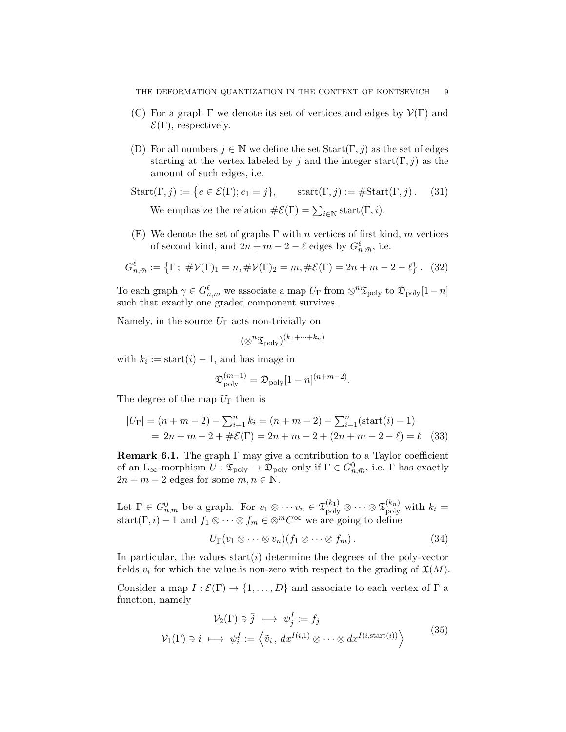- (C) For a graph  $\Gamma$  we denote its set of vertices and edges by  $\mathcal{V}(\Gamma)$  and  $\mathcal{E}(\Gamma)$ , respectively.
- (D) For all numbers  $j \in \mathbb{N}$  we define the set  $Start(\Gamma, j)$  as the set of edges starting at the vertex labeled by j and the integer start( $\Gamma$ , j) as the amount of such edges, i.e.

Start(
$$
\Gamma, j
$$
) := { $e \in \mathcal{E}(\Gamma)$ ;  $e_1 = j$ }, start( $\Gamma, j$ ) := #Start( $\Gamma, j$ ). (31)  
We emphasize the relation # $\mathcal{E}(\Gamma) = \sum_{i \in \mathbb{N}} start(\Gamma, i)$ .

(E) We denote the set of graphs  $\Gamma$  with n vertices of first kind, m vertices of second kind, and  $2n + m - 2 - \ell$  edges by  $G^{\ell}_{n, \bar{m}}$ , i.e.

$$
G_{n,\bar{m}}^{\ell} := \{ \Gamma \, ; \, \# \mathcal{V}(\Gamma)_1 = n, \# \mathcal{V}(\Gamma)_2 = m, \# \mathcal{E}(\Gamma) = 2n + m - 2 - \ell \} \, . \tag{32}
$$

To each graph  $\gamma \in G_{n,\bar{m}}^{\ell}$  we associate a map  $U_{\Gamma}$  from  $\otimes^{n} {\mathfrak{T}}_{\text{poly}}$  to  $\mathfrak{D}_{\text{poly}}[1-n]$ such that exactly one graded component survives.

Namely, in the source  $U_{\Gamma}$  acts non-trivially on

$$
(\otimes^n \mathfrak{T}_{\operatorname{poly}})^{(k_1+\cdots+k_n)}
$$

with  $k_i := \text{start}(i) - 1$ , and has image in

$$
\mathfrak{D}_{\text{poly}}^{(m-1)} = \mathfrak{D}_{\text{poly}}[1-n]^{(n+m-2)}.
$$

The degree of the map  $U_{\Gamma}$  then is

$$
|U_{\Gamma}| = (n + m - 2) - \sum_{i=1}^{n} k_i = (n + m - 2) - \sum_{i=1}^{n} (\text{start}(i) - 1)
$$
  
= 2n + m - 2 + #\mathcal{E}(\Gamma) = 2n + m - 2 + (2n + m - 2 - \ell) = \ell (33)

<span id="page-8-1"></span>**Remark 6.1.** The graph  $\Gamma$  may give a contribution to a Taylor coefficient of an  $L_{\infty}$ -morphism  $U: \mathfrak{T}_{poly} \to \mathfrak{D}_{poly}$  only if  $\Gamma \in G_{n,\bar{m}}^0$ , i.e.  $\Gamma$  has exactly  $2n + m - 2$  edges for some  $m, n \in \mathbb{N}$ .

Let  $\Gamma \in G_{n,\bar{m}}^0$  be a graph. For  $v_1 \otimes \cdots v_n \in \mathfrak{T}_{\text{poly}}^{(k_1)} \otimes \cdots \otimes \mathfrak{T}_{\text{poly}}^{(k_n)}$  with  $k_i =$ start $(\Gamma, i) - 1$  and  $f_1 \otimes \cdots \otimes f_m \in \otimes^m C^{\infty}$  we are going to define

<span id="page-8-0"></span>
$$
U_{\Gamma}(v_1 \otimes \cdots \otimes v_n)(f_1 \otimes \cdots \otimes f_m).
$$
 (34)

In particular, the values start( $i$ ) determine the degrees of the poly-vector fields  $v_i$  for which the value is non-zero with respect to the grading of  $\mathfrak{X}(M)$ .

Consider a map  $I : \mathcal{E}(\Gamma) \to \{1, ..., D\}$  and associate to each vertex of  $\Gamma$  a function, namely

$$
\mathcal{V}_2(\Gamma) \ni \bar{j} \longmapsto \psi_j^I := f_j
$$
\n
$$
\mathcal{V}_1(\Gamma) \ni i \longmapsto \psi_i^I := \left\langle \tilde{v}_i, dx^{I(i,1)} \otimes \cdots \otimes dx^{I(i,\text{start}(i))} \right\rangle
$$
\n(35)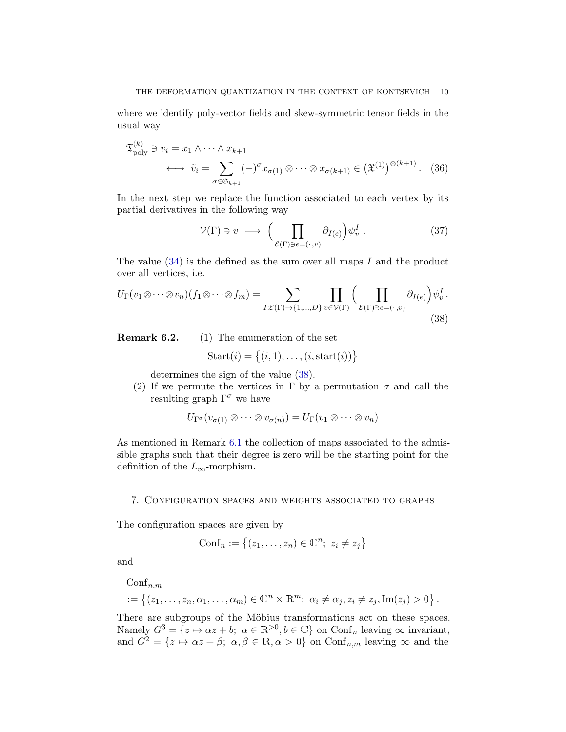where we identify poly-vector fields and skew-symmetric tensor fields in the usual way

$$
\mathfrak{T}_{\text{poly}}^{(k)} \ni v_i = x_1 \wedge \dots \wedge x_{k+1}
$$
\n
$$
\longleftrightarrow \tilde{v}_i = \sum_{\sigma \in \mathfrak{S}_{k+1}} (-)^{\sigma} x_{\sigma(1)} \otimes \dots \otimes x_{\sigma(k+1)} \in (\mathfrak{X}^{(1)})^{\otimes (k+1)}.
$$
\n(36)

In the next step we replace the function associated to each vertex by its partial derivatives in the following way

$$
\mathcal{V}(\Gamma) \ni v \; \longmapsto \; \Big( \prod_{\mathcal{E}(\Gamma) \ni e = (\cdot, v)} \partial_{I(e)} \Big) \psi_v^I \; . \tag{37}
$$

The value  $(34)$  is the defined as the sum over all maps I and the product over all vertices, i.e.

<span id="page-9-0"></span>
$$
U_{\Gamma}(v_1 \otimes \cdots \otimes v_n)(f_1 \otimes \cdots \otimes f_m) = \sum_{I: \mathcal{E}(\Gamma) \to \{1, \ldots, D\}} \prod_{v \in \mathcal{V}(\Gamma)} \left( \prod_{\mathcal{E}(\Gamma) \ni e = (\cdot, v)} \partial_{I(e)} \right) \psi_v^I.
$$
\n(38)

Remark 6.2. (1) The enumeration of the set

$$
Start(i) = \{(i, 1), \dots, (i, start(i))\}
$$

determines the sign of the value [\(38\)](#page-9-0).

(2) If we permute the vertices in  $\Gamma$  by a permutation  $\sigma$  and call the resulting graph  $\Gamma^{\sigma}$  we have

$$
U_{\Gamma^{\sigma}}(v_{\sigma(1)} \otimes \cdots \otimes v_{\sigma(n)}) = U_{\Gamma}(v_1 \otimes \cdots \otimes v_n)
$$

As mentioned in Remark [6.1](#page-8-1) the collection of maps associated to the admissible graphs such that their degree is zero will be the starting point for the definition of the  $L_{\infty}$ -morphism.

#### 7. Configuration spaces and weights associated to graphs

The configuration spaces are given by

$$
\text{Conf}_n := \{(z_1, \ldots, z_n) \in \mathbb{C}^n; \ z_i \neq z_j\}
$$

and

 $\mathrm{Conf}_{n,m}$ 

$$
:= \left\{ (z_1,\ldots,z_n,\alpha_1,\ldots,\alpha_m) \in \mathbb{C}^n \times \mathbb{R}^m; \ \alpha_i \neq \alpha_j, z_i \neq z_j, \text{Im}(z_j) > 0 \right\}.
$$

There are subgroups of the Möbius transformations act on these spaces. Namely  $G^3 = \{z \mapsto \alpha z + b; \ \alpha \in \mathbb{R}^{>0}, b \in \mathbb{C}\}\$  on  $\text{Conf}_n$  leaving  $\infty$  invariant, and  $G^2 = \{z \mapsto \alpha z + \beta; \ \alpha, \beta \in \mathbb{R}, \alpha > 0\}$  on  $\text{Conf}_{n,m}$  leaving  $\infty$  and the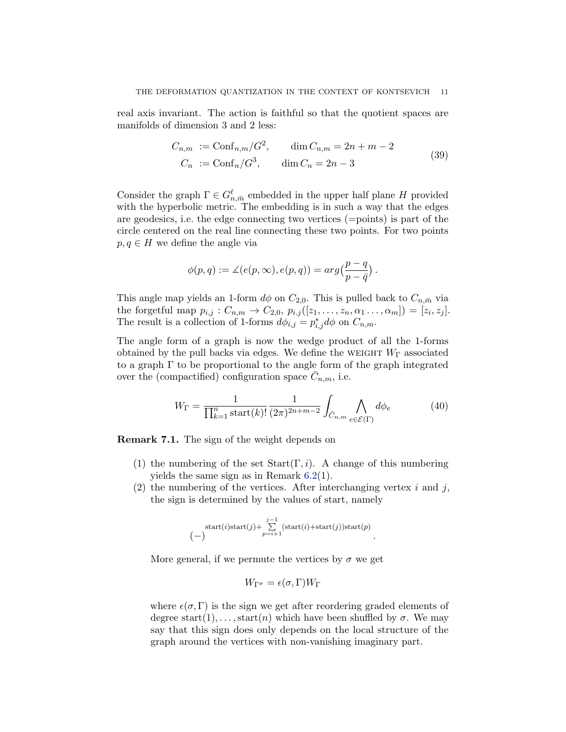real axis invariant. The action is faithful so that the quotient spaces are manifolds of dimension 3 and 2 less:

$$
C_{n,m} := \text{Conf}_{n,m}/G^2, \qquad \dim C_{n,m} = 2n + m - 2
$$
  
\n
$$
C_n := \text{Conf}_n/G^3, \qquad \dim C_n = 2n - 3
$$
\n(39)

Consider the graph  $\Gamma \in G_{n,\bar{m}}^{\ell}$  embedded in the upper half plane H provided with the hyperbolic metric. The embedding is in such a way that the edges are geodesics, i.e. the edge connecting two vertices (=points) is part of the circle centered on the real line connecting these two points. For two points  $p, q \in H$  we define the angle via

$$
\phi(p,q):=\measuredangle(e(p,\infty),e(p,q))=\arg\bigl(\frac{p-q}{p-\bar{q}}\bigr)\,.
$$

This angle map yields an 1-form  $d\phi$  on  $C_{2,0}$ . This is pulled back to  $C_{n,\bar{m}}$  via the forgetful map  $p_{i,j} : C_{n,m} \to C_{2,0}, p_{i,j}([z_1, ..., z_n, \alpha_1, ..., \alpha_m]) = [z_i, z_j].$ The result is a collection of 1-forms  $d\phi_{i,j} = p_{i,j}^* d\phi$  on  $C_{n,m}$ .

The angle form of a graph is now the wedge product of all the 1-forms obtained by the pull backs via edges. We define the WEIGHT  $W_{\Gamma}$  associated to a graph  $\Gamma$  to be proportional to the angle form of the graph integrated over the (compactified) configuration space  $\overline{C}_{n,m}$ , i.e.

$$
W_{\Gamma} = \frac{1}{\prod_{k=1}^{n} \text{start}(k)!} \frac{1}{(2\pi)^{2n+m-2}} \int_{\bar{C}_{n,m}} \bigwedge_{e \in \mathcal{E}(\Gamma)} d\phi_e \tag{40}
$$

<span id="page-10-0"></span>Remark 7.1. The sign of the weight depends on

- (1) the numbering of the set  $Start(\Gamma, i)$ . A change of this numbering yields the same sign as in Remark [6.2\(](#page-0-2)1).
- (2) the numbering of the vertices. After interchanging vertex  $i$  and  $j$ , the sign is determined by the values of start, namely

start(i)start(j) + 
$$
\sum_{p=i+1}^{j-1}
$$
(start(i)+start(j))start(p)   
(-)

More general, if we permute the vertices by  $\sigma$  we get

$$
W_{\Gamma^{\sigma}} = \epsilon(\sigma, \Gamma) W_{\Gamma}
$$

where  $\epsilon(\sigma, \Gamma)$  is the sign we get after reordering graded elements of degree start(1), ..., start(n) which have been shuffled by  $\sigma$ . We may say that this sign does only depends on the local structure of the graph around the vertices with non-vanishing imaginary part.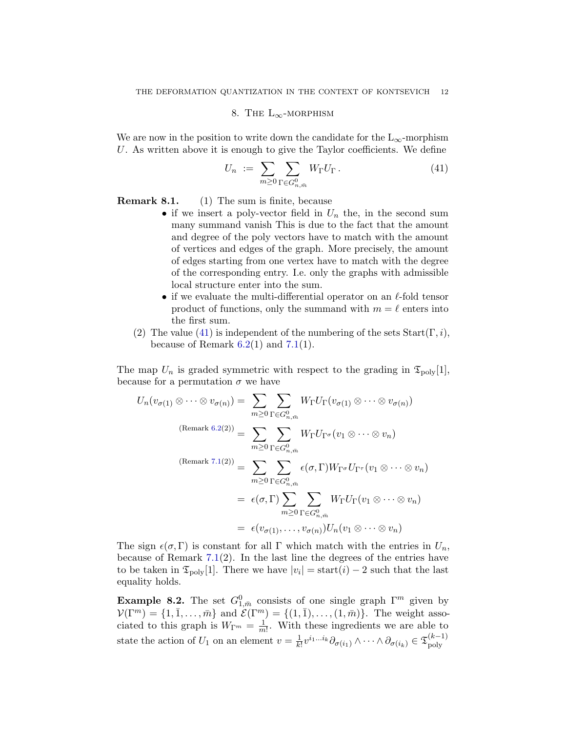# 8. THE  $L_{\infty}$ -MORPHISM

We are now in the position to write down the candidate for the  $L_{\infty}$ -morphism U. As written above it is enough to give the Taylor coefficients. We define

<span id="page-11-0"></span>
$$
U_n := \sum_{m \ge 0} \sum_{\Gamma \in G_{n,\bar{m}}^0} W_{\Gamma} U_{\Gamma}.
$$
 (41)

Remark 8.1. (1) The sum is finite, because

- if we insert a poly-vector field in  $U_n$  the, in the second sum many summand vanish This is due to the fact that the amount and degree of the poly vectors have to match with the amount of vertices and edges of the graph. More precisely, the amount of edges starting from one vertex have to match with the degree of the corresponding entry. I.e. only the graphs with admissible local structure enter into the sum.
- if we evaluate the multi-differential operator on an  $\ell$ -fold tensor product of functions, only the summand with  $m = \ell$  enters into the first sum.
- (2) The value [\(41\)](#page-11-0) is independent of the numbering of the sets  $Start(\Gamma, i)$ , because of Remark  $6.2(1)$  $6.2(1)$  and  $7.1(1)$  $7.1(1)$ .

The map  $U_n$  is graded symmetric with respect to the grading in  $\mathfrak{T}_{\text{poly}}[1],$ because for a permutation  $\sigma$  we have

$$
U_n(v_{\sigma(1)} \otimes \cdots \otimes v_{\sigma(n)}) = \sum_{m \geq 0} \sum_{\Gamma \in G_{n,\bar{m}}} W_{\Gamma} U_{\Gamma}(v_{\sigma(1)} \otimes \cdots \otimes v_{\sigma(n)})
$$
  
\n
$$
(\text{Remark } 6.2(2)) = \sum_{m \geq 0} \sum_{\Gamma \in G_{n,\bar{m}}} W_{\Gamma} U_{\Gamma^{\sigma}}(v_1 \otimes \cdots \otimes v_n)
$$
  
\n
$$
(\text{Remark } 7.1(2)) = \sum_{m \geq 0} \sum_{\Gamma \in G_{n,\bar{m}}} \epsilon(\sigma, \Gamma) W_{\Gamma^{\sigma}} U_{\Gamma^{\tau}}(v_1 \otimes \cdots \otimes v_n)
$$
  
\n
$$
= \epsilon(\sigma, \Gamma) \sum_{m \geq 0} \sum_{\Gamma \in G_{n,\bar{m}}} W_{\Gamma} U_{\Gamma}(v_1 \otimes \cdots \otimes v_n)
$$
  
\n
$$
= \epsilon(v_{\sigma(1)}, \ldots, v_{\sigma(n)}) U_n(v_1 \otimes \cdots \otimes v_n)
$$

The sign  $\epsilon(\sigma, \Gamma)$  is constant for all  $\Gamma$  which match with the entries in  $U_n$ , because of Remark  $7.1(2)$  $7.1(2)$ . In the last line the degrees of the entries have to be taken in  $\mathfrak{T}_{\text{poly}}[1]$ . There we have  $|v_i| = \text{start}(i) - 2$  such that the last equality holds.

**Example 8.2.** The set  $G_{1,\bar{m}}^0$  consists of one single graph  $\Gamma^m$  given by  $\mathcal{V}(\Gamma^m) = \{1, \overline{1}, \ldots, \overline{m}\}\$ and  $\mathcal{E}(\Gamma^m) = \{(1, \overline{1}), \ldots, (1, \overline{m})\}\$ . The weight associated to this graph is  $W_{\Gamma^m} = \frac{1}{m}$  $\frac{1}{m!}$ . With these ingredients we are able to state the action of  $U_1$  on an element  $v = \frac{1}{k}$  $\frac{1}{k!}v^{i_1...i_k}\partial_{\sigma(i_1)}\wedge\cdots\wedge\partial_{\sigma(i_k)}\in\mathfrak{T}_{\rm poly}^{(k-1)}$ poly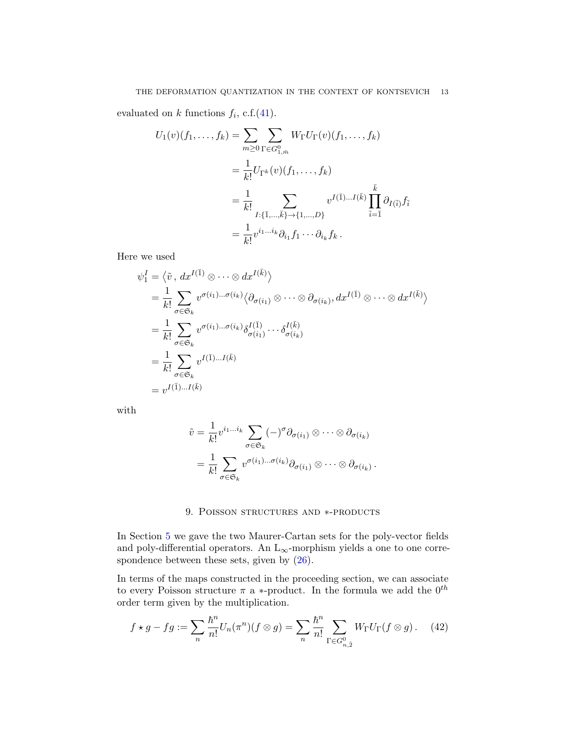evaluated on k functions  $f_i$ , c.f.[\(41\)](#page-11-0).

$$
U_1(v)(f_1, ..., f_k) = \sum_{m \ge 0} \sum_{\Gamma \in G_{1,\bar{m}}} W_{\Gamma} U_{\Gamma}(v)(f_1, ..., f_k)
$$
  
=  $\frac{1}{k!} U_{\Gamma^k}(v)(f_1, ..., f_k)$   
=  $\frac{1}{k!} \sum_{I: \{\bar{1}, ..., \bar{k}\} \to \{1, ..., D\}} v^{I(\bar{1})...I(\bar{k})} \prod_{\bar{i} = \bar{1}}^{\bar{k}} \partial_{I(\bar{i})} f_{\bar{i}}$   
=  $\frac{1}{k!} v^{i_1...i_k} \partial_{i_1} f_1 \cdots \partial_{i_k} f_k.$ 

Here we used

$$
\psi_1^I = \langle \tilde{v}, dx^{I(\bar{1})} \otimes \cdots \otimes dx^{I(\bar{k})} \rangle
$$
  
\n
$$
= \frac{1}{k!} \sum_{\sigma \in \mathfrak{S}_k} v^{\sigma(i_1) \dots \sigma(i_k)} \langle \partial_{\sigma(i_1)} \otimes \cdots \otimes \partial_{\sigma(i_k)}, dx^{I(\bar{1})} \otimes \cdots \otimes dx^{I(\bar{k})} \rangle
$$
  
\n
$$
= \frac{1}{k!} \sum_{\sigma \in \mathfrak{S}_k} v^{\sigma(i_1) \dots \sigma(i_k)} \delta_{\sigma(i_1)}^{I(\bar{1})} \cdots \delta_{\sigma(i_k)}^{I(\bar{k})}
$$
  
\n
$$
= \frac{1}{k!} \sum_{\sigma \in \mathfrak{S}_k} v^{I(\bar{1}) \dots I(\bar{k})}
$$
  
\n
$$
= v^{I(\bar{1}) \dots I(\bar{k})}
$$

with

$$
\tilde{v} = \frac{1}{k!} v^{i_1...i_k} \sum_{\sigma \in \mathfrak{S}_k} (-)^{\sigma} \partial_{\sigma(i_1)} \otimes \cdots \otimes \partial_{\sigma(i_k)}
$$

$$
= \frac{1}{k!} \sum_{\sigma \in \mathfrak{S}_k} v^{\sigma(i_1)... \sigma(i_k)} \partial_{\sigma(i_1)} \otimes \cdots \otimes \partial_{\sigma(i_k)}.
$$

### 9. POISSON STRUCTURES AND \*-PRODUCTS

In Section [5](#page-6-0) we gave the two Maurer-Cartan sets for the poly-vector fields and poly-differential operators. An  $L_{\infty}$ -morphism yields a one to one correspondence between these sets, given by [\(26\)](#page-5-0).

In terms of the maps constructed in the proceeding section, we can associate to every Poisson structure  $\pi$  a  $\ast$ -product. In the formula we add the  $0^{th}$ order term given by the multiplication.

$$
f \star g - fg := \sum_{n} \frac{\hbar^n}{n!} U_n(\pi^n)(f \otimes g) = \sum_{n} \frac{\hbar^n}{n!} \sum_{\Gamma \in G_{n,\bar{2}}} W_{\Gamma} U_{\Gamma}(f \otimes g). \tag{42}
$$